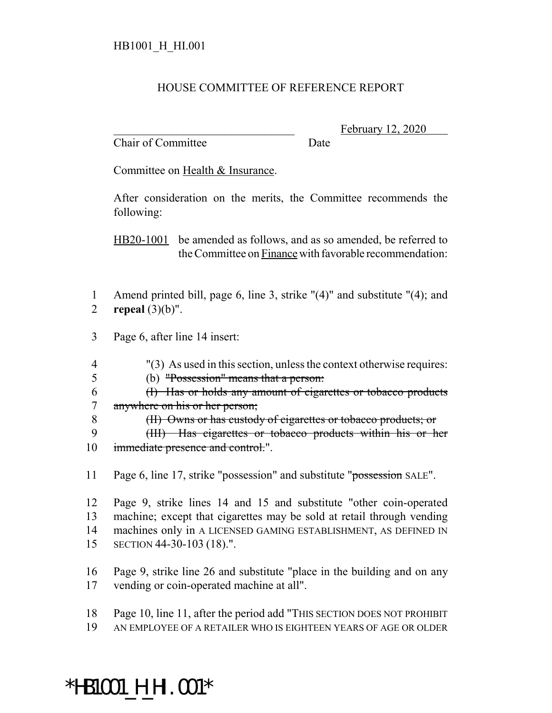#### HOUSE COMMITTEE OF REFERENCE REPORT

Chair of Committee Date

February 12, 2020

Committee on Health & Insurance.

After consideration on the merits, the Committee recommends the following:

HB20-1001 be amended as follows, and as so amended, be referred to the Committee on Finance with favorable recommendation:

- 1 Amend printed bill, page 6, line 3, strike "(4)" and substitute "(4); and 2 **repeal** (3)(b)".
- 3 Page 6, after line 14 insert:
- 4 "(3) As used in this section, unless the context otherwise requires:
- 5 (b) "Possession" means that a person:
- 6 (I) Has or holds any amount of cigarettes or tobacco products 7 anywhere on his or her person;
- 8 (II) Owns or has custody of cigarettes or tobacco products; or
- 9 (III) Has cigarettes or tobacco products within his or her 10 immediate presence and control.".
- 11 Page 6, line 17, strike "possession" and substitute "possession SALE".
- 12 Page 9, strike lines 14 and 15 and substitute "other coin-operated 13 machine; except that cigarettes may be sold at retail through vending 14 machines only in A LICENSED GAMING ESTABLISHMENT, AS DEFINED IN 15 SECTION 44-30-103 (18).".
- 16 Page 9, strike line 26 and substitute "place in the building and on any 17 vending or coin-operated machine at all".
- 18 Page 10, line 11, after the period add "THIS SECTION DOES NOT PROHIBIT 19 AN EMPLOYEE OF A RETAILER WHO IS EIGHTEEN YEARS OF AGE OR OLDER

# \*HB1001\_H\_HI.001\*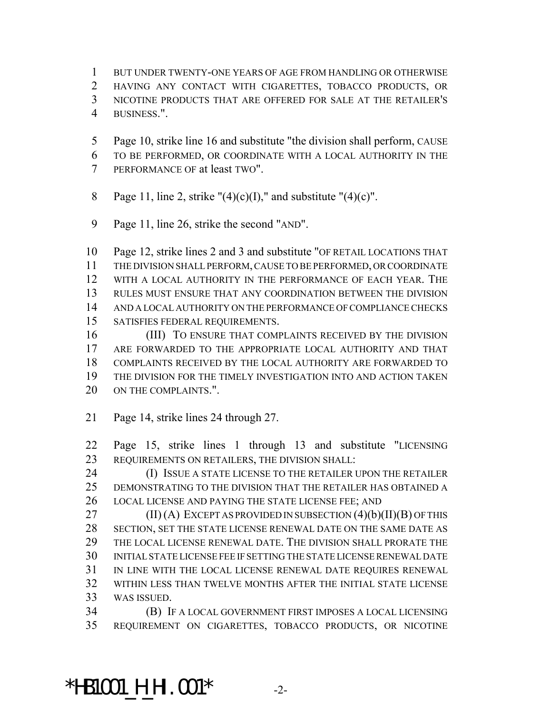BUT UNDER TWENTY-ONE YEARS OF AGE FROM HANDLING OR OTHERWISE HAVING ANY CONTACT WITH CIGARETTES, TOBACCO PRODUCTS, OR NICOTINE PRODUCTS THAT ARE OFFERED FOR SALE AT THE RETAILER'S BUSINESS.".

- Page 10, strike line 16 and substitute "the division shall perform, CAUSE TO BE PERFORMED, OR COORDINATE WITH A LOCAL AUTHORITY IN THE
- PERFORMANCE OF at least TWO".
- 8 Page 11, line 2, strike " $(4)(c)(I)$ ," and substitute " $(4)(c)$ ".
- Page 11, line 26, strike the second "AND".

 Page 12, strike lines 2 and 3 and substitute "OF RETAIL LOCATIONS THAT THE DIVISION SHALL PERFORM, CAUSE TO BE PERFORMED, OR COORDINATE WITH A LOCAL AUTHORITY IN THE PERFORMANCE OF EACH YEAR. THE RULES MUST ENSURE THAT ANY COORDINATION BETWEEN THE DIVISION AND A LOCAL AUTHORITY ON THE PERFORMANCE OF COMPLIANCE CHECKS SATISFIES FEDERAL REQUIREMENTS.

 (III) TO ENSURE THAT COMPLAINTS RECEIVED BY THE DIVISION ARE FORWARDED TO THE APPROPRIATE LOCAL AUTHORITY AND THAT COMPLAINTS RECEIVED BY THE LOCAL AUTHORITY ARE FORWARDED TO THE DIVISION FOR THE TIMELY INVESTIGATION INTO AND ACTION TAKEN 20 ON THE COMPLAINTS."

Page 14, strike lines 24 through 27.

 Page 15, strike lines 1 through 13 and substitute "LICENSING REQUIREMENTS ON RETAILERS, THE DIVISION SHALL:

**(I) ISSUE A STATE LICENSE TO THE RETAILER UPON THE RETAILER**  DEMONSTRATING TO THE DIVISION THAT THE RETAILER HAS OBTAINED A LOCAL LICENSE AND PAYING THE STATE LICENSE FEE; AND

27 (II) (A) EXCEPT AS PROVIDED IN SUBSECTION  $(4)(b)(II)(B)$  OF THIS SECTION, SET THE STATE LICENSE RENEWAL DATE ON THE SAME DATE AS THE LOCAL LICENSE RENEWAL DATE. THE DIVISION SHALL PRORATE THE INITIAL STATE LICENSE FEE IF SETTING THE STATE LICENSE RENEWAL DATE IN LINE WITH THE LOCAL LICENSE RENEWAL DATE REQUIRES RENEWAL WITHIN LESS THAN TWELVE MONTHS AFTER THE INITIAL STATE LICENSE WAS ISSUED.

 (B) IF A LOCAL GOVERNMENT FIRST IMPOSES A LOCAL LICENSING REQUIREMENT ON CIGARETTES, TOBACCO PRODUCTS, OR NICOTINE

#### \*HB1001\_H\_HI.001\* -2-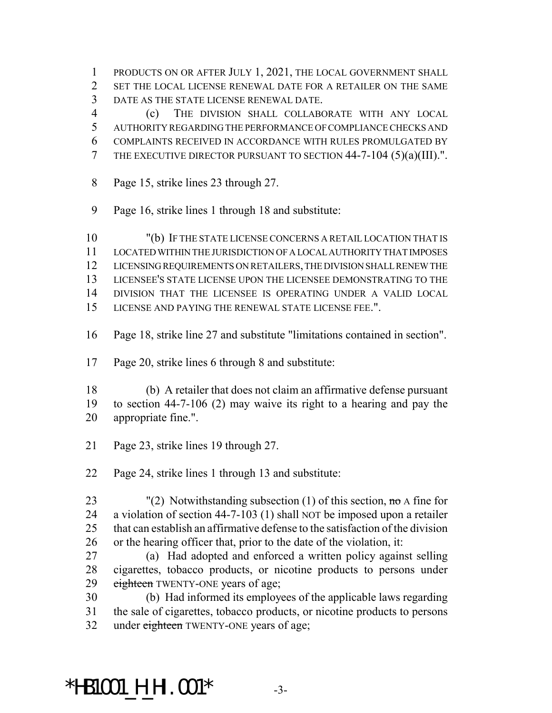PRODUCTS ON OR AFTER JULY 1, 2021, THE LOCAL GOVERNMENT SHALL SET THE LOCAL LICENSE RENEWAL DATE FOR A RETAILER ON THE SAME DATE AS THE STATE LICENSE RENEWAL DATE.

 (c) THE DIVISION SHALL COLLABORATE WITH ANY LOCAL AUTHORITY REGARDING THE PERFORMANCE OF COMPLIANCE CHECKS AND COMPLAINTS RECEIVED IN ACCORDANCE WITH RULES PROMULGATED BY THE EXECUTIVE DIRECTOR PURSUANT TO SECTION 44-7-104 (5)(a)(III).".

- Page 15, strike lines 23 through 27.
- Page 16, strike lines 1 through 18 and substitute:

 "(b) IF THE STATE LICENSE CONCERNS A RETAIL LOCATION THAT IS LOCATED WITHIN THE JURISDICTION OF A LOCAL AUTHORITY THAT IMPOSES LICENSING REQUIREMENTS ON RETAILERS, THE DIVISION SHALL RENEW THE LICENSEE'S STATE LICENSE UPON THE LICENSEE DEMONSTRATING TO THE DIVISION THAT THE LICENSEE IS OPERATING UNDER A VALID LOCAL LICENSE AND PAYING THE RENEWAL STATE LICENSE FEE.".

- Page 18, strike line 27 and substitute "limitations contained in section".
- Page 20, strike lines 6 through 8 and substitute:

 (b) A retailer that does not claim an affirmative defense pursuant to section 44-7-106 (2) may waive its right to a hearing and pay the appropriate fine.".

- Page 23, strike lines 19 through 27.
- Page 24, strike lines 1 through 13 and substitute:
- 23 "(2) Notwithstanding subsection (1) of this section,  $\pi \sigma$  A fine for a violation of section 44-7-103 (1) shall NOT be imposed upon a retailer that can establish an affirmative defense to the satisfaction of the division or the hearing officer that, prior to the date of the violation, it:
- (a) Had adopted and enforced a written policy against selling cigarettes, tobacco products, or nicotine products to persons under 29 eighteen TWENTY-ONE years of age;

 (b) Had informed its employees of the applicable laws regarding the sale of cigarettes, tobacco products, or nicotine products to persons 32 under eighteen TWENTY-ONE years of age;

### \*HB1001\_H\_HI.001\* -3-